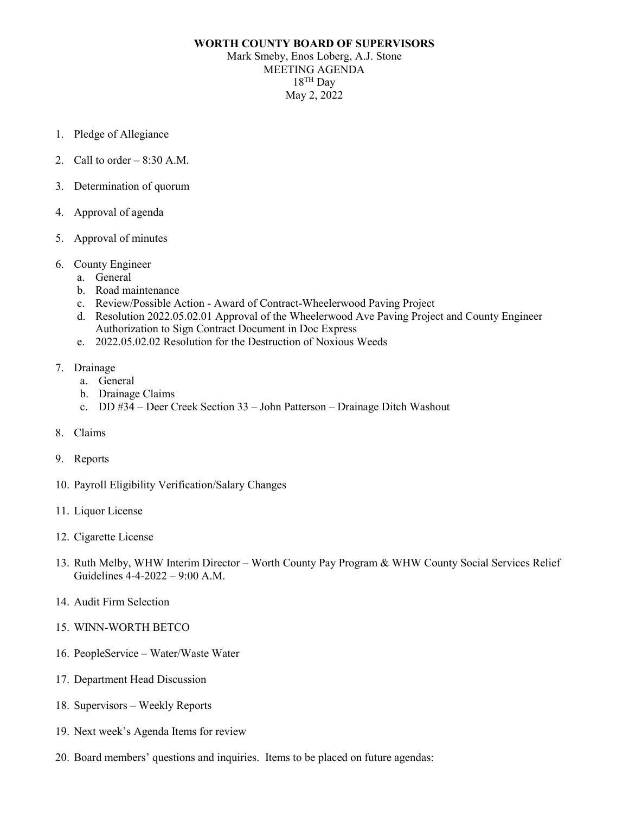## **WORTH COUNTY BOARD OF SUPERVISORS**

Mark Smeby, Enos Loberg, A.J. Stone MEETING AGENDA  $18$ <sup>TH</sup> Day May 2, 2022

- 1. Pledge of Allegiance
- 2. Call to order  $-8:30$  A.M.
- 3. Determination of quorum
- 4. Approval of agenda
- 5. Approval of minutes
- 6. County Engineer
	- a. General
	- b. Road maintenance
	- c. Review/Possible Action Award of Contract-Wheelerwood Paving Project
	- d. Resolution 2022.05.02.01 Approval of the Wheelerwood Ave Paving Project and County Engineer Authorization to Sign Contract Document in Doc Express
	- e. 2022.05.02.02 Resolution for the Destruction of Noxious Weeds
- 7. Drainage
	- a. General
	- b. Drainage Claims
	- c. DD #34 Deer Creek Section 33 John Patterson Drainage Ditch Washout
- 8. Claims
- 9. Reports
- 10. Payroll Eligibility Verification/Salary Changes
- 11. Liquor License
- 12. Cigarette License
- 13. Ruth Melby, WHW Interim Director Worth County Pay Program & WHW County Social Services Relief Guidelines 4-4-2022 – 9:00 A.M.
- 14. Audit Firm Selection
- 15. WINN-WORTH BETCO
- 16. PeopleService Water/Waste Water
- 17. Department Head Discussion
- 18. Supervisors Weekly Reports
- 19. Next week's Agenda Items for review
- 20. Board members' questions and inquiries. Items to be placed on future agendas: